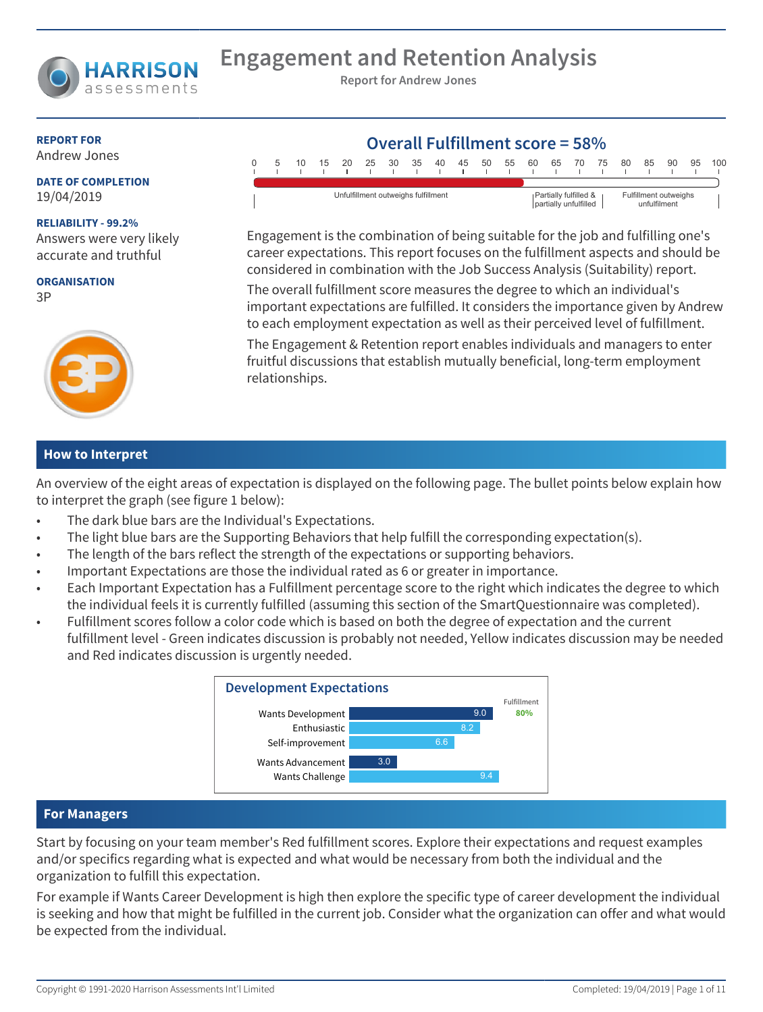

# **Engagement and Retention Analysis**

**Report for Andrew Jones**

#### **REPORT FOR** Andrew Jones

**DATE OF COMPLETION** 19/04/2019

#### **RELIABILITY - 99.2%**

Answers were very likely accurate and truthful

**ORGANISATION** 3P



#### **How to Interpret**

An overview of the eight areas of expectation is displayed on the following page. The bullet points below explain how to interpret the graph (see figure 1 below):

- The dark blue bars are the Individual's Expectations.
- The light blue bars are the Supporting Behaviors that help fulfill the corresponding expectation(s).
- The length of the bars reflect the strength of the expectations or supporting behaviors.
- Important Expectations are those the individual rated as 6 or greater in importance.
- Each Important Expectation has a Fulfillment percentage score to the right which indicates the degree to which the individual feels it is currently fulfilled (assuming this section of the SmartQuestionnaire was completed).
- Fulfillment scores follow a color code which is based on both the degree of expectation and the current fulfillment level - Green indicates discussion is probably not needed, Yellow indicates discussion may be needed and Red indicates discussion is urgently needed.



#### **For Managers**

Start by focusing on your team member's Red fulfillment scores. Explore their expectations and request examples and/or specifics regarding what is expected and what would be necessary from both the individual and the organization to fulfill this expectation.

For example if Wants Career Development is high then explore the specific type of career development the individual is seeking and how that might be fulfilled in the current job. Consider what the organization can offer and what would be expected from the individual.

| $\Omega$ |                                     | 10 |  | 15 20 25 30 |  |  | - 35                                           | 40 | - 45 | 50 | 55                                    | 60 | 65 | 70 | - 75 | 80 | 85 | 90 | 95 | 100 |
|----------|-------------------------------------|----|--|-------------|--|--|------------------------------------------------|----|------|----|---------------------------------------|----|----|----|------|----|----|----|----|-----|
|          |                                     |    |  |             |  |  |                                                |    |      |    |                                       |    |    |    |      |    |    |    |    |     |
|          | Unfulfillment outweighs fulfillment |    |  |             |  |  | Partially fulfilled &<br>partially unfulfilled |    |      |    | Fulfillment outweighs<br>unfulfilment |    |    |    |      |    |    |    |    |     |

Engagement is the combination of being suitable for the job and fulfilling one's career expectations. This report focuses on the fulfillment aspects and should be considered in combination with the Job Success Analysis (Suitability) report.

The overall fulfillment score measures the degree to which an individual's important expectations are fulfilled. It considers the importance given by Andrew to each employment expectation as well as their perceived level of fulfillment.

The Engagement & Retention report enables individuals and managers to enter fruitful discussions that establish mutually beneficial, long-term employment relationships.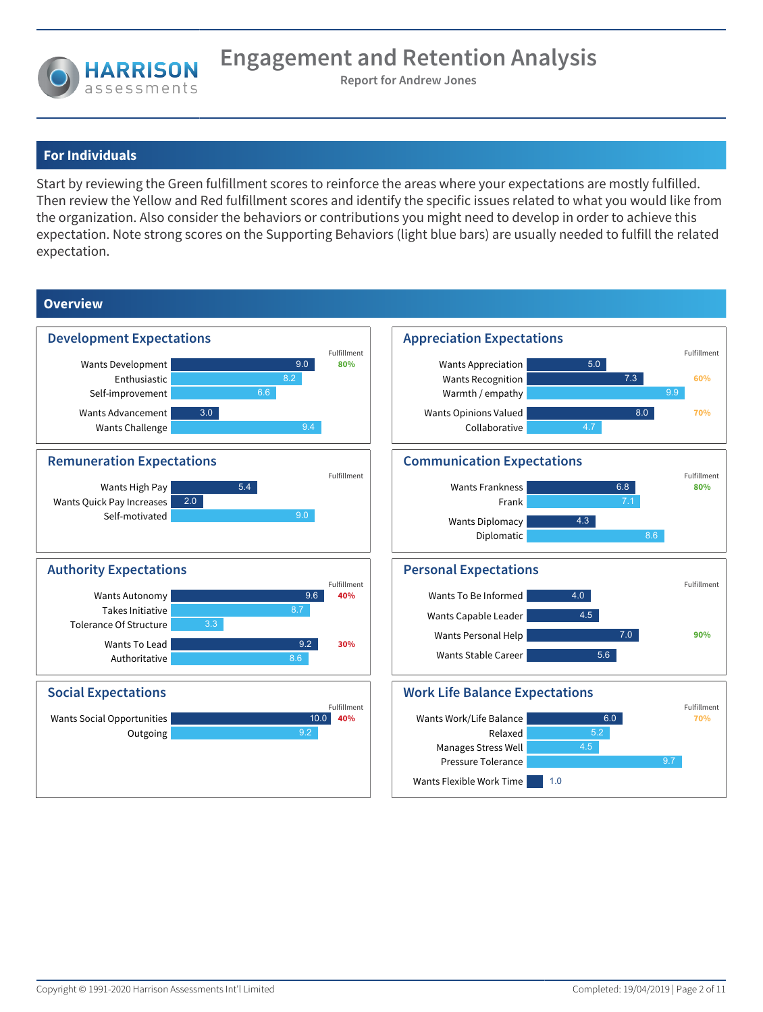

## **For Individuals**

Start by reviewing the Green fulfillment scores to reinforce the areas where your expectations are mostly fulfilled. Then review the Yellow and Red fulfillment scores and identify the specific issues related to what you would like from the organization. Also consider the behaviors or contributions you might need to develop in order to achieve this expectation. Note strong scores on the Supporting Behaviors (light blue bars) are usually needed to fulfill the related expectation.

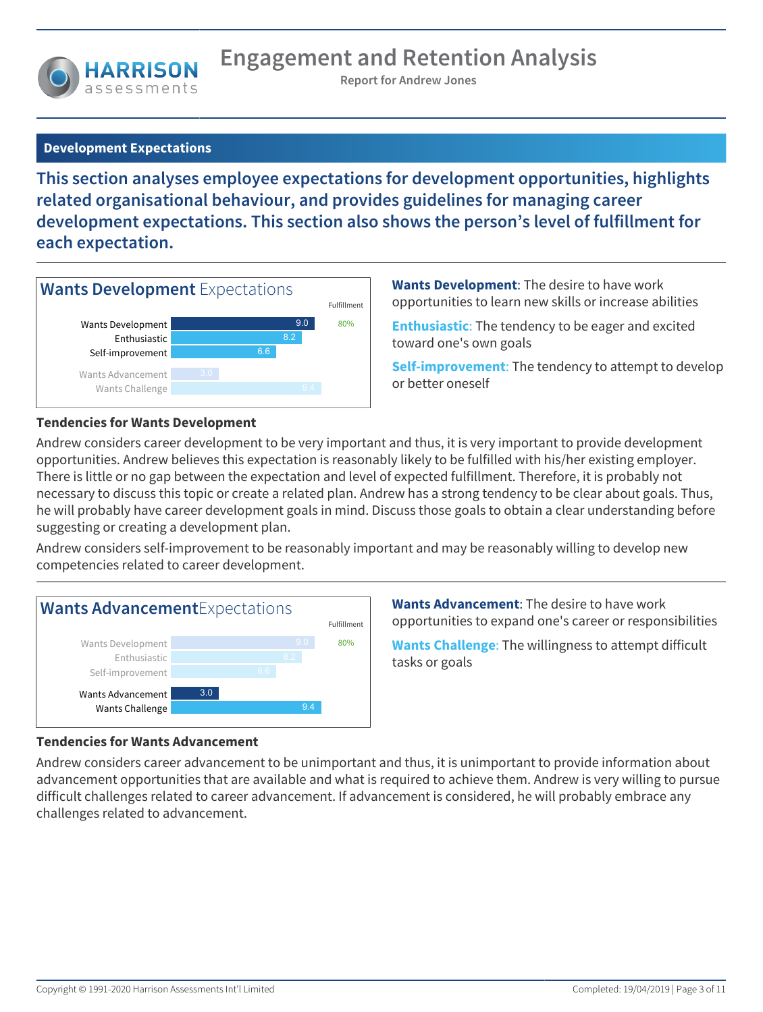

## **Development Expectations**

**This section analyses employee expectations for development opportunities, highlights related organisational behaviour, and provides guidelines for managing career development expectations. This section also shows the person's level of fulfillment for each expectation.**



**Wants Development**: The desire to have work opportunities to learn new skills or increase abilities

**Enthusiastic**: The tendency to be eager and excited toward one's own goals

**Self-improvement**: The tendency to attempt to develop or better oneself

#### **Tendencies for Wants Development**

Andrew considers career development to be very important and thus, it is very important to provide development opportunities. Andrew believes this expectation is reasonably likely to be fulfilled with his/her existing employer. There is little or no gap between the expectation and level of expected fulfillment. Therefore, it is probably not necessary to discuss this topic or create a related plan. Andrew has a strong tendency to be clear about goals. Thus, he will probably have career development goals in mind. Discuss those goals to obtain a clear understanding before suggesting or creating a development plan.

Andrew considers self-improvement to be reasonably important and may be reasonably willing to develop new competencies related to career development.



**Wants Advancement**: The desire to have work opportunities to expand one's career or responsibilities

**Wants Challenge**: The willingness to attempt difficult tasks or goals

#### **Tendencies for Wants Advancement**

Andrew considers career advancement to be unimportant and thus, it is unimportant to provide information about advancement opportunities that are available and what is required to achieve them. Andrew is very willing to pursue difficult challenges related to career advancement. If advancement is considered, he will probably embrace any challenges related to advancement.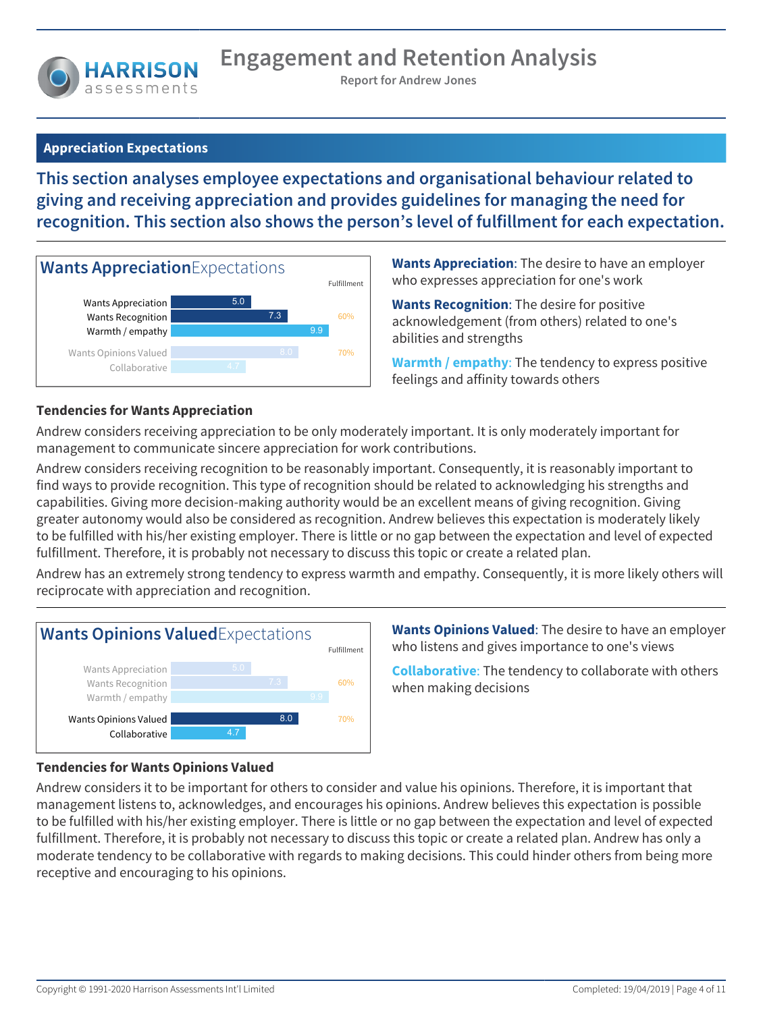

## **Appreciation Expectations**

**This section analyses employee expectations and organisational behaviour related to giving and receiving appreciation and provides guidelines for managing the need for recognition. This section also shows the person's level of fulfillment for each expectation.**



**Wants Appreciation**: The desire to have an employer who expresses appreciation for one's work

**Wants Recognition**: The desire for positive acknowledgement (from others) related to one's abilities and strengths

**Warmth / empathy**: The tendency to express positive feelings and affinity towards others

## **Tendencies for Wants Appreciation**

Andrew considers receiving appreciation to be only moderately important. It is only moderately important for management to communicate sincere appreciation for work contributions.

Andrew considers receiving recognition to be reasonably important. Consequently, it is reasonably important to find ways to provide recognition. This type of recognition should be related to acknowledging his strengths and capabilities. Giving more decision-making authority would be an excellent means of giving recognition. Giving greater autonomy would also be considered as recognition. Andrew believes this expectation is moderately likely to be fulfilled with his/her existing employer. There is little or no gap between the expectation and level of expected fulfillment. Therefore, it is probably not necessary to discuss this topic or create a related plan.

Andrew has an extremely strong tendency to express warmth and empathy. Consequently, it is more likely others will reciprocate with appreciation and recognition.



**Wants Opinions Valued**: The desire to have an employer who listens and gives importance to one's views

**Collaborative**: The tendency to collaborate with others when making decisions

## **Tendencies for Wants Opinions Valued**

Andrew considers it to be important for others to consider and value his opinions. Therefore, it is important that management listens to, acknowledges, and encourages his opinions. Andrew believes this expectation is possible to be fulfilled with his/her existing employer. There is little or no gap between the expectation and level of expected fulfillment. Therefore, it is probably not necessary to discuss this topic or create a related plan. Andrew has only a moderate tendency to be collaborative with regards to making decisions. This could hinder others from being more receptive and encouraging to his opinions.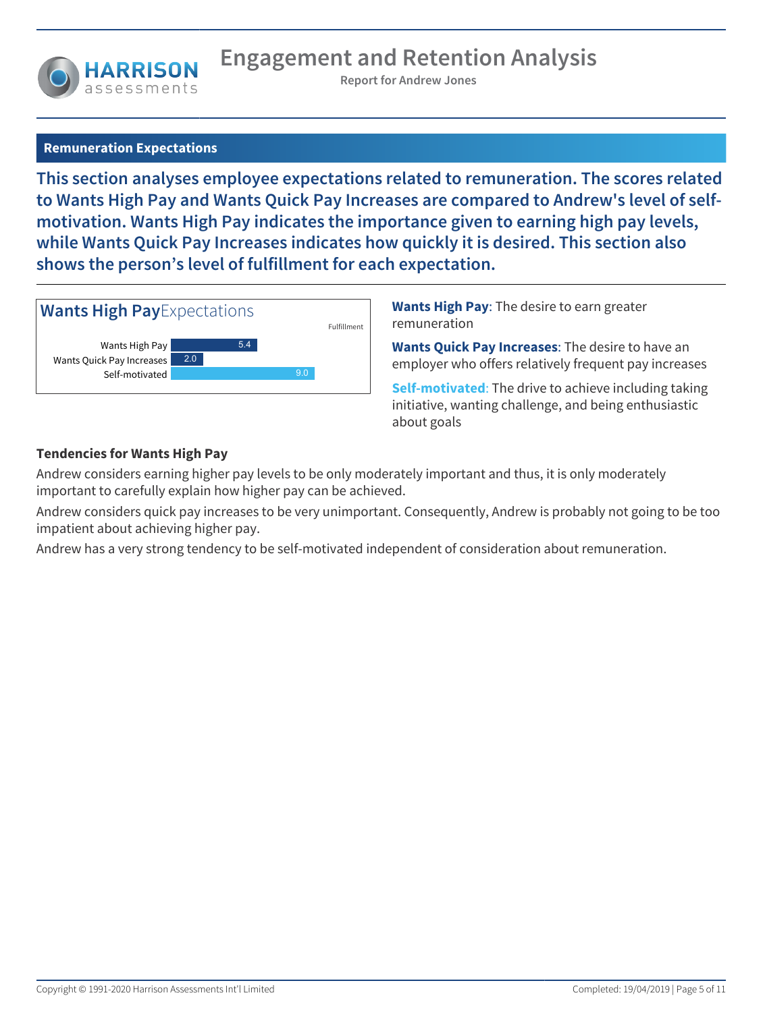

## **Remuneration Expectations**

**This section analyses employee expectations related to remuneration. The scores related to Wants High Pay and Wants Quick Pay Increases are compared to Andrew's level of selfmotivation. Wants High Pay indicates the importance given to earning high pay levels, while Wants Quick Pay Increases indicates how quickly it is desired. This section also shows the person's level of fulfillment for each expectation.**



**Wants High Pay**: The desire to earn greater remuneration

**Wants Quick Pay Increases**: The desire to have an employer who offers relatively frequent pay increases

**Self-motivated**: The drive to achieve including taking initiative, wanting challenge, and being enthusiastic about goals

## **Tendencies for Wants High Pay**

Andrew considers earning higher pay levels to be only moderately important and thus, it is only moderately important to carefully explain how higher pay can be achieved.

Andrew considers quick pay increases to be very unimportant. Consequently, Andrew is probably not going to be too impatient about achieving higher pay.

Andrew has a very strong tendency to be self-motivated independent of consideration about remuneration.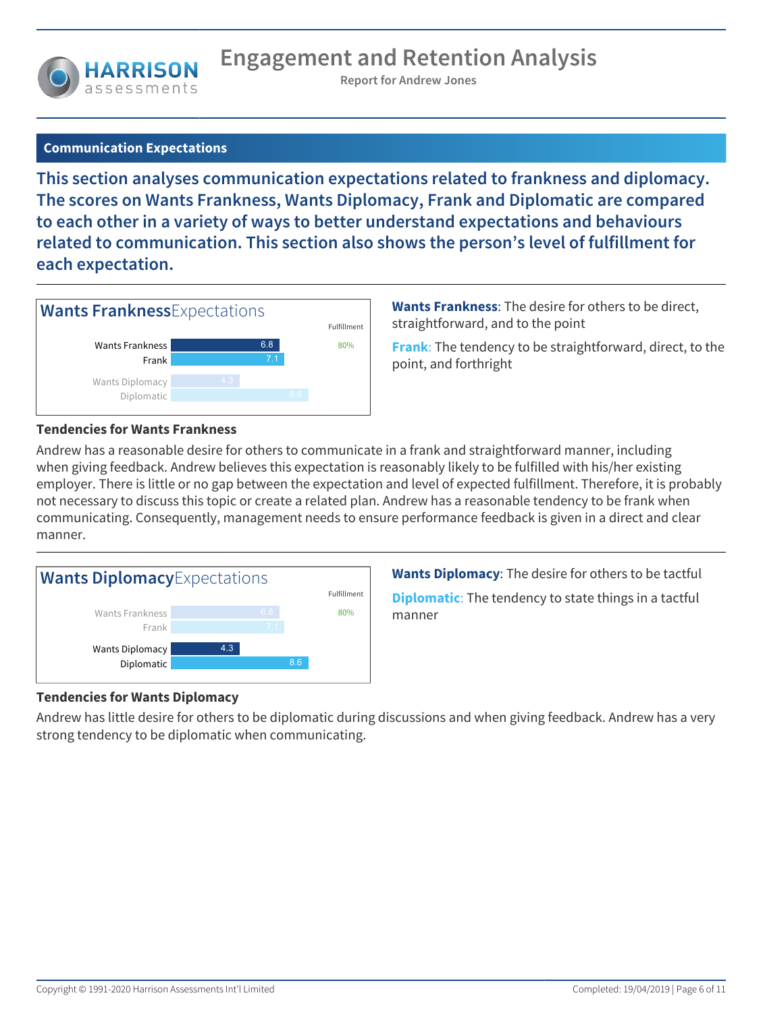

## **Communication Expectations**

**This section analyses communication expectations related to frankness and diplomacy. The scores on Wants Frankness, Wants Diplomacy, Frank and Diplomatic are compared to each other in a variety of ways to better understand expectations and behaviours related to communication. This section also shows the person's level of fulfillment for each expectation.**



**Wants Frankness**: The desire for others to be direct, straightforward, and to the point

**Frank**: The tendency to be straightforward, direct, to the point, and forthright

#### **Tendencies for Wants Frankness**

Andrew has a reasonable desire for others to communicate in a frank and straightforward manner, including when giving feedback. Andrew believes this expectation is reasonably likely to be fulfilled with his/her existing employer. There is little or no gap between the expectation and level of expected fulfillment. Therefore, it is probably not necessary to discuss this topic or create a related plan. Andrew has a reasonable tendency to be frank when communicating. Consequently, management needs to ensure performance feedback is given in a direct and clear manner.



**Wants Diplomacy**: The desire for others to be tactful **Diplomatic**: The tendency to state things in a tactful manner

## **Tendencies for Wants Diplomacy**

Andrew has little desire for others to be diplomatic during discussions and when giving feedback. Andrew has a very strong tendency to be diplomatic when communicating.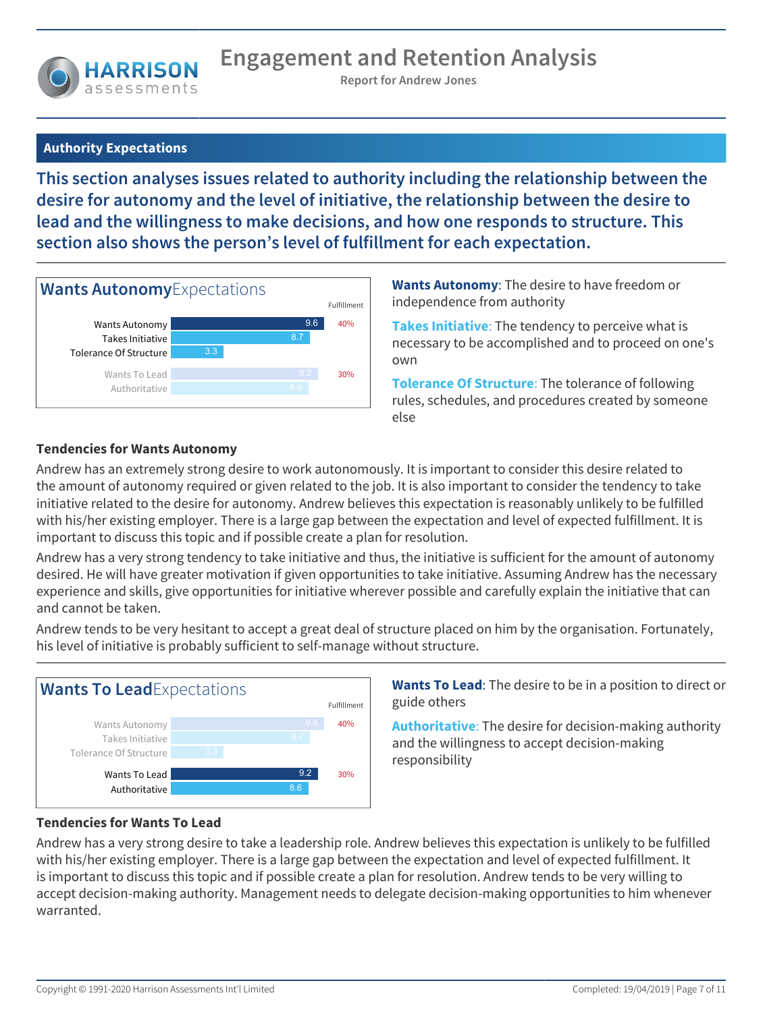## **Authority Expectations**

**This section analyses issues related to authority including the relationship between the desire for autonomy and the level of initiative, the relationship between the desire to lead and the willingness to make decisions, and how one responds to structure. This section also shows the person's level of fulfillment for each expectation.**



**Wants Autonomy**: The desire to have freedom or independence from authority

**Takes Initiative**: The tendency to perceive what is necessary to be accomplished and to proceed on one's own

**Tolerance Of Structure**: The tolerance of following rules, schedules, and procedures created by someone else

## **Tendencies for Wants Autonomy**

Andrew has an extremely strong desire to work autonomously. It is important to consider this desire related to the amount of autonomy required or given related to the job. It is also important to consider the tendency to take initiative related to the desire for autonomy. Andrew believes this expectation is reasonably unlikely to be fulfilled with his/her existing employer. There is a large gap between the expectation and level of expected fulfillment. It is important to discuss this topic and if possible create a plan for resolution.

Andrew has a very strong tendency to take initiative and thus, the initiative is sufficient for the amount of autonomy desired. He will have greater motivation if given opportunities to take initiative. Assuming Andrew has the necessary experience and skills, give opportunities for initiative wherever possible and carefully explain the initiative that can and cannot be taken.

Andrew tends to be very hesitant to accept a great deal of structure placed on him by the organisation. Fortunately, his level of initiative is probably sufficient to self-manage without structure.



**Wants To Lead**: The desire to be in a position to direct or guide others

**Authoritative**: The desire for decision-making authority and the willingness to accept decision-making responsibility

## **Tendencies for Wants To Lead**

Andrew has a very strong desire to take a leadership role. Andrew believes this expectation is unlikely to be fulfilled with his/her existing employer. There is a large gap between the expectation and level of expected fulfillment. It is important to discuss this topic and if possible create a plan for resolution. Andrew tends to be very willing to accept decision-making authority. Management needs to delegate decision-making opportunities to him whenever warranted.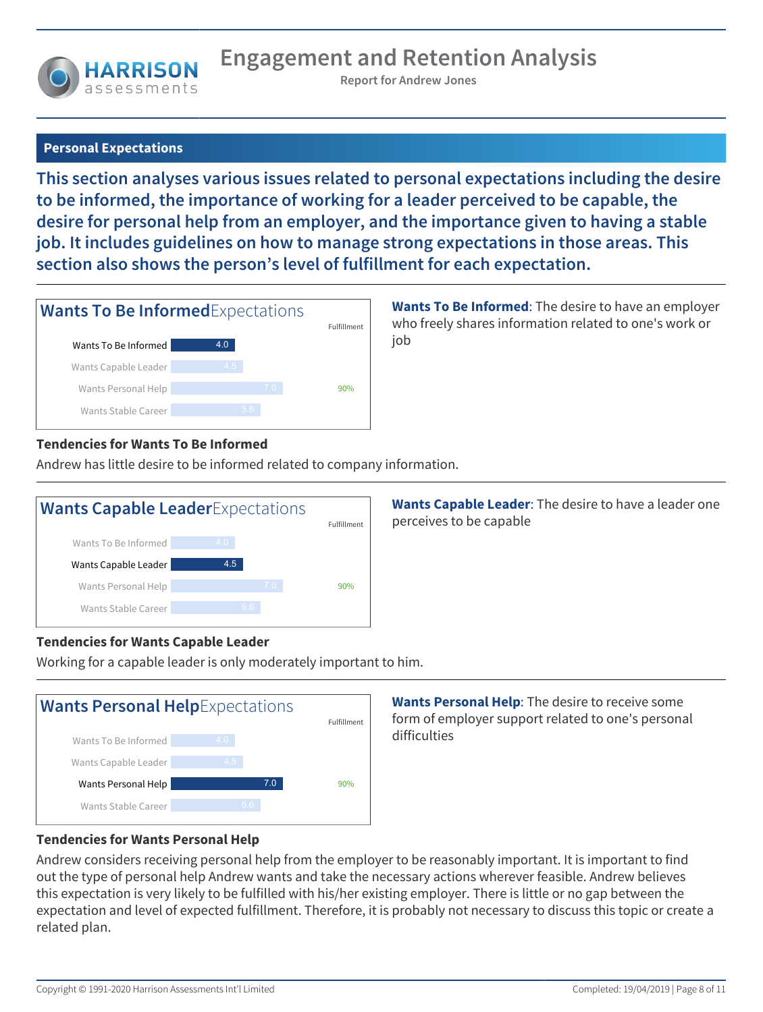## **Personal Expectations**

**This section analyses various issues related to personal expectations including the desire to be informed, the importance of working for a leader perceived to be capable, the desire for personal help from an employer, and the importance given to having a stable job. It includes guidelines on how to manage strong expectations in those areas. This section also shows the person's level of fulfillment for each expectation.**

| <b>Wants To Be Informed Expectations</b> | Fulfillment      |     |  |
|------------------------------------------|------------------|-----|--|
| Wants To Be Informed                     | 4.0              |     |  |
| Wants Capable Leader                     | $4.\overline{5}$ |     |  |
| Wants Personal Help                      | 7.0              | 90% |  |
| Wants Stable Career                      | 5.6              |     |  |

**Wants To Be Informed**: The desire to have an employer who freely shares information related to one's work or job

## **Tendencies for Wants To Be Informed**

Andrew has little desire to be informed related to company information.



**Wants Capable Leader**: The desire to have a leader one perceives to be capable

## **Tendencies for Wants Capable Leader**

Working for a capable leader is only moderately important to him.



**Wants Personal Help**: The desire to receive some form of employer support related to one's personal difficulties

## **Tendencies for Wants Personal Help**

Andrew considers receiving personal help from the employer to be reasonably important. It is important to find out the type of personal help Andrew wants and take the necessary actions wherever feasible. Andrew believes this expectation is very likely to be fulfilled with his/her existing employer. There is little or no gap between the expectation and level of expected fulfillment. Therefore, it is probably not necessary to discuss this topic or create a related plan.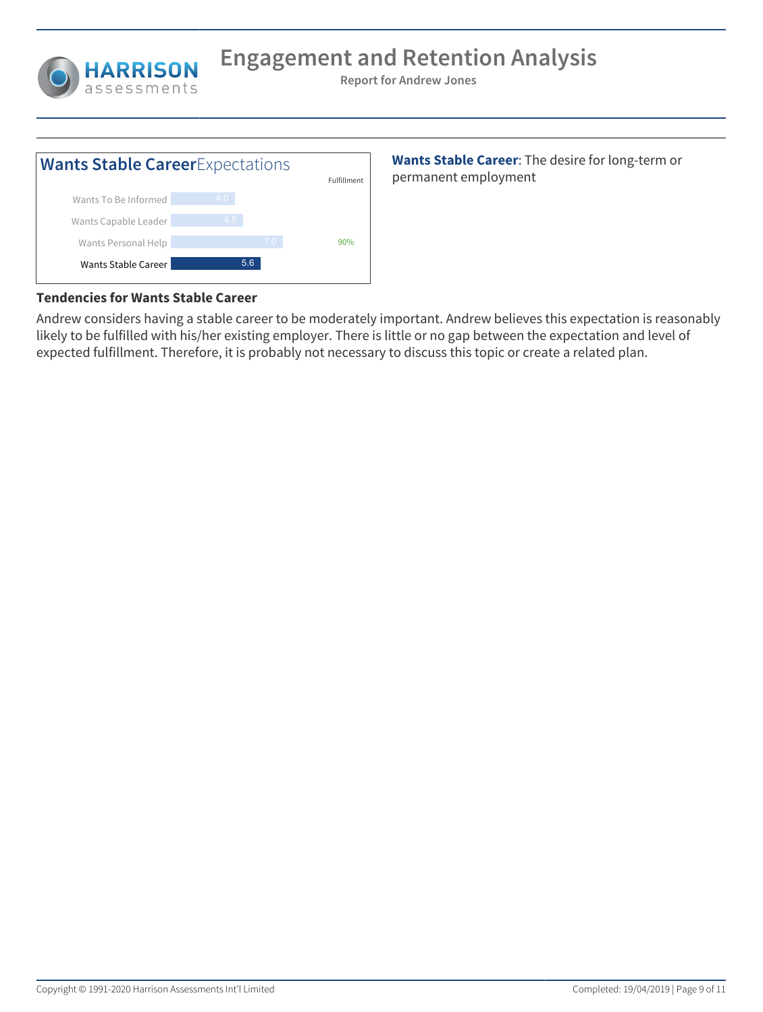



**Wants Stable Career**: The desire for long-term or permanent employment

## **Tendencies for Wants Stable Career**

Andrew considers having a stable career to be moderately important. Andrew believes this expectation is reasonably likely to be fulfilled with his/her existing employer. There is little or no gap between the expectation and level of expected fulfillment. Therefore, it is probably not necessary to discuss this topic or create a related plan.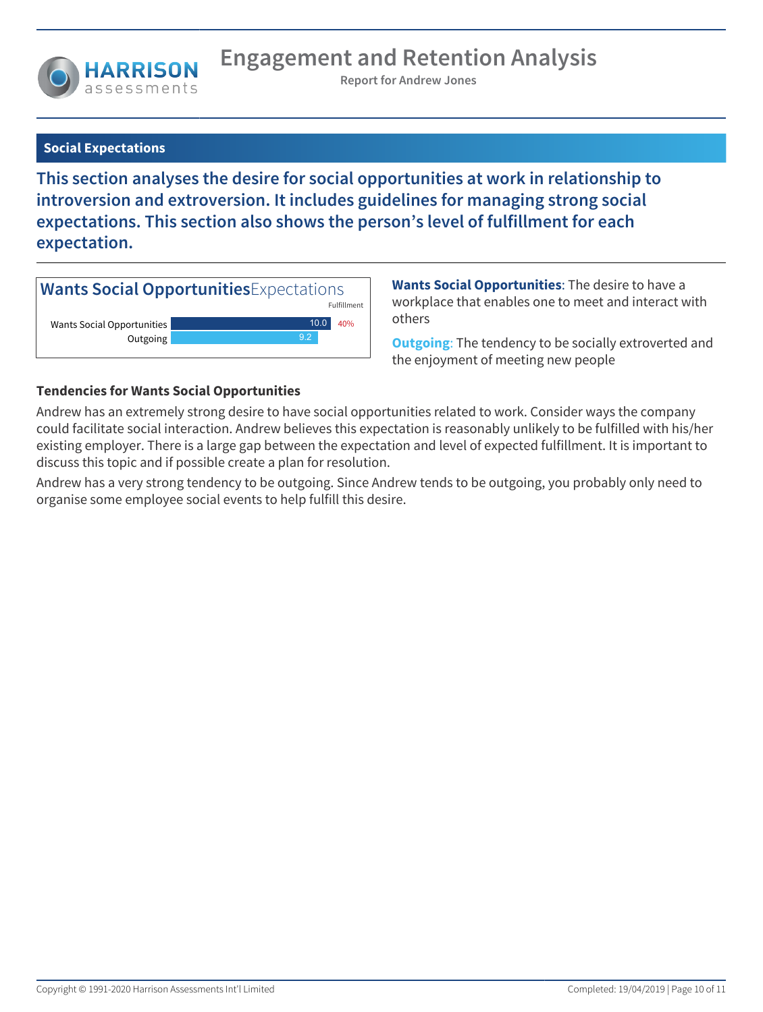

## **Social Expectations**

**This section analyses the desire for social opportunities at work in relationship to introversion and extroversion. It includes guidelines for managing strong social expectations. This section also shows the person's level of fulfillment for each expectation.**



**Wants Social Opportunities**: The desire to have a workplace that enables one to meet and interact with others

**Outgoing**: The tendency to be socially extroverted and the enjoyment of meeting new people

## **Tendencies for Wants Social Opportunities**

Andrew has an extremely strong desire to have social opportunities related to work. Consider ways the company could facilitate social interaction. Andrew believes this expectation is reasonably unlikely to be fulfilled with his/her existing employer. There is a large gap between the expectation and level of expected fulfillment. It is important to discuss this topic and if possible create a plan for resolution.

Andrew has a very strong tendency to be outgoing. Since Andrew tends to be outgoing, you probably only need to organise some employee social events to help fulfill this desire.